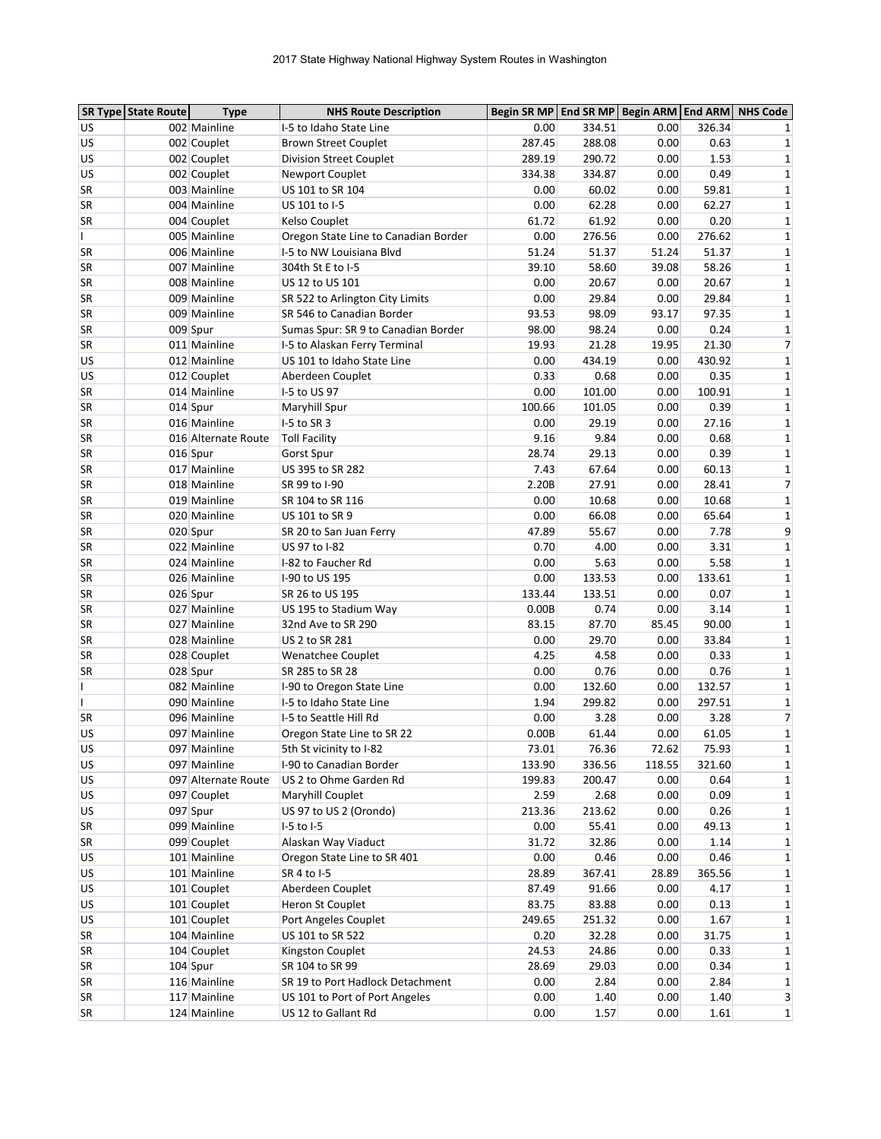|              | <b>SR Type State Route</b> | <b>Type</b>         | <b>NHS Route Description</b>         | Begin SR MP End SR MP Begin ARM End ARM |                 |        |                | <b>NHS Code</b> |
|--------------|----------------------------|---------------------|--------------------------------------|-----------------------------------------|-----------------|--------|----------------|-----------------|
| US           |                            | 002 Mainline        | I-5 to Idaho State Line              | 0.00                                    | 334.51          | 0.00   | 326.34         |                 |
| US           |                            | 002 Couplet         | <b>Brown Street Couplet</b>          | 287.45                                  | 288.08          | 0.00   | 0.63           | 1               |
| US           |                            | 002 Couplet         | <b>Division Street Couplet</b>       | 289.19                                  | 290.72          | 0.00   | 1.53           | 1               |
| US           |                            | 002 Couplet         | <b>Newport Couplet</b>               | 334.38                                  | 334.87          | 0.00   | 0.49           | $\mathbf 1$     |
| SR           |                            | 003 Mainline        | US 101 to SR 104                     | 0.00                                    | 60.02           | 0.00   | 59.81          | $\mathbf 1$     |
| SR           |                            | 004 Mainline        | US 101 to I-5                        | 0.00                                    | 62.28           | 0.00   | 62.27          | 1               |
| SR           |                            | 004 Couplet         | Kelso Couplet                        | 61.72                                   | 61.92           | 0.00   | 0.20           | 1               |
| L            |                            | 005 Mainline        | Oregon State Line to Canadian Border | 0.00                                    | 276.56          | 0.00   | 276.62         | 1               |
| <b>SR</b>    |                            | 006 Mainline        | I-5 to NW Louisiana Blvd             | 51.24                                   | 51.37           | 51.24  | 51.37          | $\mathbf 1$     |
| SR           |                            | 007 Mainline        | 304th St E to I-5                    | 39.10                                   | 58.60           | 39.08  | 58.26          | 1               |
| SR           |                            | 008 Mainline        | US 12 to US 101                      | 0.00                                    | 20.67           | 0.00   | 20.67          | 1               |
| <b>SR</b>    |                            | 009 Mainline        | SR 522 to Arlington City Limits      | 0.00                                    | 29.84           | 0.00   | 29.84          | 1               |
| <b>SR</b>    |                            | 009 Mainline        | SR 546 to Canadian Border            | 93.53                                   | 98.09           | 93.17  | 97.35          | 1               |
| SR           |                            | 009 Spur            | Sumas Spur: SR 9 to Canadian Border  | 98.00                                   | 98.24           | 0.00   | 0.24           | 1               |
| SR           |                            | 011 Mainline        | I-5 to Alaskan Ferry Terminal        | 19.93                                   | 21.28           | 19.95  | 21.30          | $\overline{7}$  |
| US           |                            | 012 Mainline        | US 101 to Idaho State Line           | 0.00                                    | 434.19          | 0.00   | 430.92         | 1               |
| US           |                            | 012 Couplet         | Aberdeen Couplet                     | 0.33                                    | 0.68            | 0.00   | 0.35           | 1               |
| <b>SR</b>    |                            | 014 Mainline        | I-5 to US 97                         | 0.00                                    | 101.00          | 0.00   | 100.91         | 1               |
| <b>SR</b>    |                            | 014 Spur            | Maryhill Spur                        | 100.66                                  | 101.05          | 0.00   | 0.39           | 1               |
| SR           |                            | 016 Mainline        | $I-5$ to SR 3                        | 0.00                                    | 29.19           | 0.00   | 27.16          | 1               |
| SR           |                            | 016 Alternate Route | <b>Toll Facility</b>                 | 9.16                                    | 9.84            | 0.00   | 0.68           | 1               |
| <b>SR</b>    |                            | 016 Spur            | Gorst Spur                           | 28.74                                   | 29.13           | 0.00   | 0.39           | 1               |
| <b>SR</b>    |                            | 017 Mainline        | US 395 to SR 282                     | 7.43                                    | 67.64           | 0.00   | 60.13          | 1               |
| SR           |                            | 018 Mainline        | SR 99 to I-90                        | 2.20B                                   | 27.91           | 0.00   | 28.41          | 7               |
| SR           |                            | 019 Mainline        | SR 104 to SR 116                     | 0.00                                    | 10.68           | 0.00   | 10.68          | $\mathbf{1}$    |
| SR           |                            | 020 Mainline        | US 101 to SR 9                       | 0.00                                    | 66.08           | 0.00   | 65.64          | 1               |
| <b>SR</b>    |                            | 020 Spur            | SR 20 to San Juan Ferry              | 47.89                                   | 55.67           | 0.00   | 7.78           | 9               |
| <b>SR</b>    |                            | 022 Mainline        | US 97 to I-82                        | 0.70                                    | 4.00            | 0.00   | 3.31           | 1               |
| SR           |                            | 024 Mainline        | I-82 to Faucher Rd                   | 0.00                                    | 5.63            | 0.00   | 5.58           | 1               |
| SR           |                            | 026 Mainline        | I-90 to US 195                       | 0.00                                    | 133.53          | 0.00   | 133.61         | 1               |
| SR           |                            | 026 Spur            | SR 26 to US 195                      | 133.44                                  | 133.51          | 0.00   | 0.07           | 1               |
| <b>SR</b>    |                            | 027 Mainline        | US 195 to Stadium Way                | 0.00B                                   | 0.74            | 0.00   | 3.14           | 1               |
| <b>SR</b>    |                            | 027 Mainline        | 32nd Ave to SR 290                   | 83.15                                   | 87.70           | 85.45  | 90.00          | 1               |
| SR           |                            | 028 Mainline        | US 2 to SR 281                       | 0.00                                    | 29.70           | 0.00   | 33.84          | $\mathbf 1$     |
| SR           |                            | 028 Couplet         | Wenatchee Couplet                    | 4.25                                    | 4.58            | 0.00   | 0.33           | $\mathbf 1$     |
| SR           |                            | 028 Spur            | SR 285 to SR 28                      | 0.00                                    | 0.76            | 0.00   | 0.76           | 1               |
| L            |                            | 082 Mainline        | I-90 to Oregon State Line            | 0.00                                    | 132.60          | 0.00   | 132.57         | 1               |
| $\mathbf{I}$ |                            | 090 Mainline        | I-5 to Idaho State Line              | 1.94                                    | 299.82          | 0.00   | 297.51         | 1               |
| SR           |                            | 096 Mainline        | I-5 to Seattle Hill Rd               | 0.00                                    | 3.28            | 0.00   | 3.28           | $\overline{7}$  |
| US           |                            | 097 Mainline        | Oregon State Line to SR 22           | 0.00B                                   | 61.44           | 0.00   | 61.05          | $\mathbf 1$     |
| <b>US</b>    |                            | 097 Mainline        | 5th St vicinity to I-82              | 73.01                                   | 76.36           | 72.62  | 75.93          | $\mathbf 1$     |
| US           |                            | 097 Mainline        | I-90 to Canadian Border              | 133.90                                  | 336.56          | 118.55 | 321.60         | 1               |
| <b>US</b>    |                            | 097 Alternate Route | US 2 to Ohme Garden Rd               | 199.83                                  | 200.47          | 0.00   | 0.64           | $\mathbf{1}$    |
| US           |                            | 097 Couplet         | Maryhill Couplet                     | 2.59                                    | 2.68            | 0.00   | 0.09           | $\mathbf{1}$    |
| US           |                            | 097 Spur            | US 97 to US 2 (Orondo)               | 213.36                                  | 213.62          | 0.00   | 0.26           | 1               |
| SR           |                            | 099 Mainline        | I-5 to I-5                           | 0.00                                    | 55.41           | 0.00   | 49.13          | 1               |
| SR           |                            | 099 Couplet         | Alaskan Way Viaduct                  | 31.72                                   | 32.86           | 0.00   | 1.14           | $\mathbf{1}$    |
| <b>US</b>    |                            | 101 Mainline        | Oregon State Line to SR 401          | 0.00                                    | 0.46            | 0.00   | 0.46           |                 |
|              |                            | 101 Mainline        | SR 4 to I-5                          | 28.89                                   |                 | 28.89  |                | 1               |
| US<br>US     |                            | 101 Couplet         | Aberdeen Couplet                     | 87.49                                   | 367.41<br>91.66 | 0.00   | 365.56<br>4.17 | 1<br>1          |
|              |                            |                     |                                      | 83.75                                   |                 |        |                |                 |
| US           |                            | 101 Couplet         | Heron St Couplet                     |                                         | 83.88           | 0.00   | 0.13           | 1               |
| US           |                            | 101 Couplet         | Port Angeles Couplet                 | 249.65                                  | 251.32          | 0.00   | 1.67           | 1               |
| SR           |                            | 104 Mainline        | US 101 to SR 522                     | 0.20                                    | 32.28           | 0.00   | 31.75          | 1               |
| SR           |                            | 104 Couplet         | Kingston Couplet                     | 24.53                                   | 24.86           | 0.00   | 0.33           | 1               |
| SR           |                            | 104 Spur            | SR 104 to SR 99                      | 28.69                                   | 29.03           | 0.00   | 0.34           | 1               |
| SR           |                            | 116 Mainline        | SR 19 to Port Hadlock Detachment     | 0.00                                    | 2.84            | 0.00   | 2.84           | $\mathbf{1}$    |
| SR           |                            | 117 Mainline        | US 101 to Port of Port Angeles       | 0.00                                    | 1.40            | 0.00   | 1.40           | 3               |
| SR           |                            | 124 Mainline        | US 12 to Gallant Rd                  | 0.00                                    | 1.57            | 0.00   | 1.61           | $\mathbf{1}$    |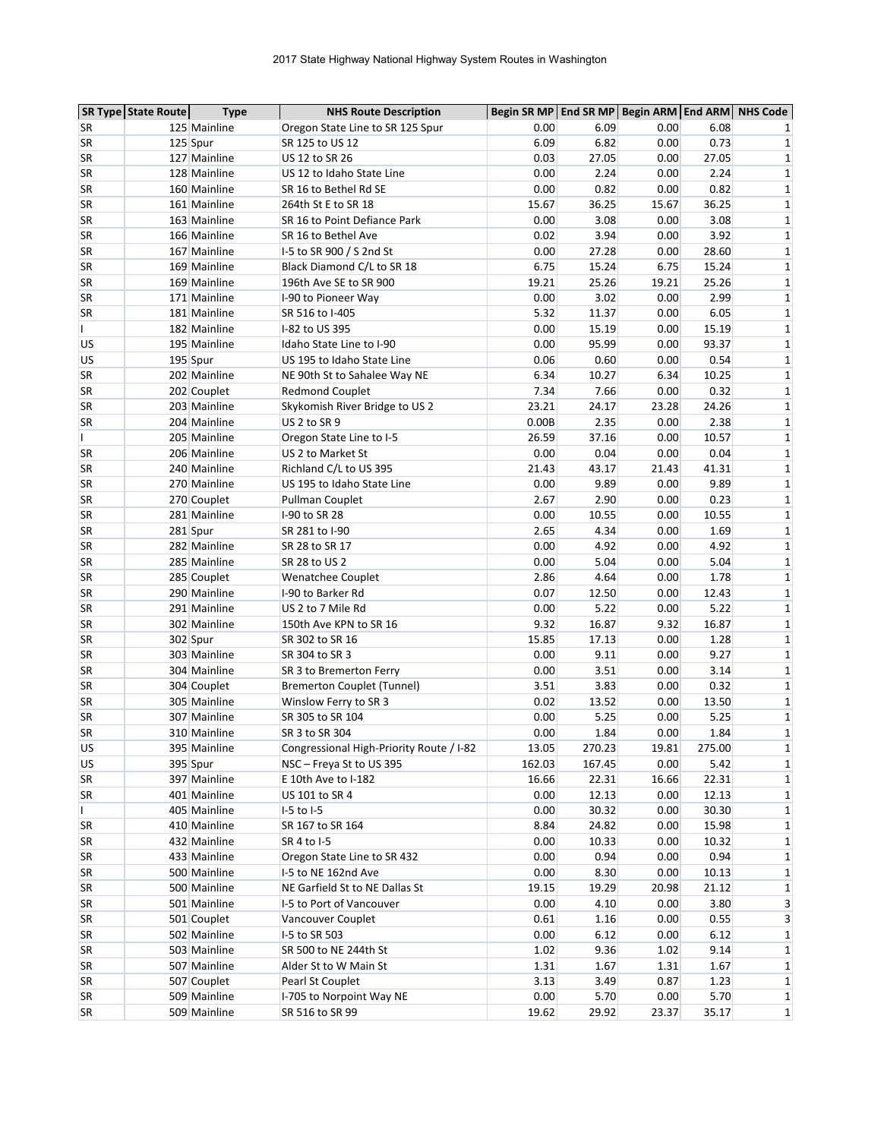|              | <b>SR Type State Route</b> | <b>Type</b>  | <b>NHS Route Description</b>             | Begin SR MP End SR MP Begin ARM End ARM |        |       |        | <b>NHS Code</b> |
|--------------|----------------------------|--------------|------------------------------------------|-----------------------------------------|--------|-------|--------|-----------------|
| SR           |                            | 125 Mainline | Oregon State Line to SR 125 Spur         | 0.00                                    | 6.09   | 0.00  | 6.08   |                 |
| <b>SR</b>    |                            | 125 Spur     | SR 125 to US 12                          | 6.09                                    | 6.82   | 0.00  | 0.73   | 1               |
| SR           |                            | 127 Mainline | US 12 to SR 26                           | 0.03                                    | 27.05  | 0.00  | 27.05  | 1               |
| SR           |                            | 128 Mainline | US 12 to Idaho State Line                | 0.00                                    | 2.24   | 0.00  | 2.24   | 1               |
| <b>SR</b>    |                            | 160 Mainline | SR 16 to Bethel Rd SE                    | 0.00                                    | 0.82   | 0.00  | 0.82   | 1               |
| SR           |                            | 161 Mainline | 264th St E to SR 18                      | 15.67                                   | 36.25  | 15.67 | 36.25  | 1               |
| <b>SR</b>    |                            | 163 Mainline | SR 16 to Point Defiance Park             | 0.00                                    | 3.08   | 0.00  | 3.08   | 1               |
| SR           |                            | 166 Mainline | SR 16 to Bethel Ave                      | 0.02                                    | 3.94   | 0.00  | 3.92   | 1               |
| SR           |                            | 167 Mainline | 1-5 to SR 900 / S 2nd St                 | 0.00                                    | 27.28  | 0.00  | 28.60  | 1               |
| <b>SR</b>    |                            | 169 Mainline | Black Diamond C/L to SR 18               | 6.75                                    | 15.24  | 6.75  | 15.24  | 1               |
| SR           |                            | 169 Mainline | 196th Ave SE to SR 900                   | 19.21                                   | 25.26  | 19.21 | 25.26  | 1               |
| <b>SR</b>    |                            | 171 Mainline | I-90 to Pioneer Way                      | 0.00                                    | 3.02   | 0.00  | 2.99   | 1               |
| SR           |                            | 181 Mainline | SR 516 to I-405                          | 5.32                                    | 11.37  | 0.00  | 6.05   | 1               |
| L            |                            | 182 Mainline | I-82 to US 395                           | 0.00                                    | 15.19  | 0.00  | 15.19  | 1               |
| US           |                            | 195 Mainline | Idaho State Line to I-90                 | 0.00                                    | 95.99  | 0.00  | 93.37  | 1               |
| US           |                            | 195 Spur     | US 195 to Idaho State Line               | 0.06                                    | 0.60   | 0.00  | 0.54   | $\mathbf{1}$    |
| SR           |                            | 202 Mainline | NE 90th St to Sahalee Way NE             | 6.34                                    | 10.27  | 6.34  | 10.25  | 1               |
| SR           |                            | 202 Couplet  | <b>Redmond Couplet</b>                   | 7.34                                    | 7.66   | 0.00  | 0.32   | 1               |
| <b>SR</b>    |                            | 203 Mainline | Skykomish River Bridge to US 2           | 23.21                                   | 24.17  | 23.28 | 24.26  | 1               |
| SR           |                            | 204 Mainline | US 2 to SR 9                             | 0.00B                                   | 2.35   | 0.00  | 2.38   | 1               |
| L            |                            | 205 Mainline | Oregon State Line to I-5                 | 26.59                                   | 37.16  | 0.00  | 10.57  | 1               |
| <b>SR</b>    |                            | 206 Mainline | US 2 to Market St                        | 0.00                                    | 0.04   | 0.00  | 0.04   | 1               |
| SR           |                            | 240 Mainline | Richland C/L to US 395                   | 21.43                                   | 43.17  | 21.43 | 41.31  | 1               |
| SR           |                            | 270 Mainline | US 195 to Idaho State Line               | 0.00                                    | 9.89   | 0.00  | 9.89   | 1               |
| <b>SR</b>    |                            | 270 Couplet  | Pullman Couplet                          | 2.67                                    | 2.90   | 0.00  | 0.23   | 1               |
| SR           |                            | 281 Mainline | I-90 to SR 28                            | 0.00                                    | 10.55  | 0.00  | 10.55  | 1               |
| <b>SR</b>    |                            | 281 Spur     | SR 281 to I-90                           | 2.65                                    | 4.34   | 0.00  | 1.69   | 1               |
| SR           |                            | 282 Mainline | SR 28 to SR 17                           | 0.00                                    | 4.92   | 0.00  | 4.92   | 1               |
| SR           |                            | 285 Mainline | SR 28 to US 2                            | 0.00                                    | 5.04   | 0.00  | 5.04   | 1               |
| <b>SR</b>    |                            | 285 Couplet  | Wenatchee Couplet                        | 2.86                                    | 4.64   | 0.00  | 1.78   | 1               |
| SR           |                            | 290 Mainline | I-90 to Barker Rd                        | 0.07                                    | 12.50  | 0.00  | 12.43  | 1               |
| <b>SR</b>    |                            | 291 Mainline | US 2 to 7 Mile Rd                        | 0.00                                    | 5.22   | 0.00  | 5.22   | 1               |
| SR           |                            | 302 Mainline | 150th Ave KPN to SR 16                   | 9.32                                    | 16.87  | 9.32  | 16.87  | 1               |
| SR           |                            | 302 Spur     | SR 302 to SR 16                          | 15.85                                   | 17.13  | 0.00  | 1.28   | 1               |
| SR           |                            | 303 Mainline | SR 304 to SR 3                           | 0.00                                    | 9.11   | 0.00  | 9.27   | 1               |
| SR           |                            | 304 Mainline | SR 3 to Bremerton Ferry                  | 0.00                                    | 3.51   | 0.00  | 3.14   | 1               |
| <b>SR</b>    |                            | 304 Couplet  | <b>Bremerton Couplet (Tunnel)</b>        | 3.51                                    | 3.83   | 0.00  | 0.32   | 1               |
| <b>SR</b>    |                            | 305 Mainline | Winslow Ferry to SR 3                    | 0.02                                    | 13.52  | 0.00  | 13.50  | 1               |
| SR           |                            | 307 Mainline | SR 305 to SR 104                         | 0.00                                    | 5.25   | 0.00  | 5.25   | $\mathbf 1$     |
| <b>SR</b>    |                            | 310 Mainline | SR 3 to SR 304                           | 0.00                                    | 1.84   | 0.00  | 1.84   | $\mathbf 1$     |
| <b>US</b>    |                            | 395 Mainline | Congressional High-Priority Route / I-82 | 13.05                                   | 270.23 | 19.81 | 275.00 | $\mathbf{1}$    |
| US           |                            | 395 Spur     | NSC - Freya St to US 395                 | 162.03                                  | 167.45 | 0.00  | 5.42   | 1               |
| SR           |                            | 397 Mainline | E 10th Ave to I-182                      | 16.66                                   | 22.31  | 16.66 | 22.31  | $\mathbf{1}$    |
| SR           |                            | 401 Mainline | US 101 to SR 4                           | 0.00                                    | 12.13  | 0.00  | 12.13  | 1               |
| $\mathsf{I}$ |                            | 405 Mainline | $I-5$ to $I-5$                           | 0.00                                    | 30.32  | 0.00  | 30.30  | 1               |
| <b>SR</b>    |                            | 410 Mainline | SR 167 to SR 164                         | 8.84                                    | 24.82  | 0.00  | 15.98  | 1               |
| SR           |                            | 432 Mainline | SR 4 to I-5                              | 0.00                                    | 10.33  | 0.00  | 10.32  | 1               |
| SR           |                            | 433 Mainline | Oregon State Line to SR 432              | 0.00                                    | 0.94   | 0.00  | 0.94   | 1               |
| SR           |                            | 500 Mainline | I-5 to NE 162nd Ave                      | 0.00                                    | 8.30   | 0.00  | 10.13  | 1               |
| <b>SR</b>    |                            | 500 Mainline | NE Garfield St to NE Dallas St           | 19.15                                   | 19.29  | 20.98 | 21.12  | 1               |
| SR           |                            | 501 Mainline | I-5 to Port of Vancouver                 | 0.00                                    | 4.10   | 0.00  | 3.80   | 3               |
| SR           |                            | 501 Couplet  | Vancouver Couplet                        | 0.61                                    | 1.16   | 0.00  | 0.55   | 3               |
| SR           |                            | 502 Mainline | I-5 to SR 503                            | 0.00                                    | 6.12   | 0.00  | 6.12   | 1               |
| SR           |                            | 503 Mainline | SR 500 to NE 244th St                    | 1.02                                    | 9.36   | 1.02  | 9.14   | $\mathbf{1}$    |
| <b>SR</b>    |                            | 507 Mainline | Alder St to W Main St                    | 1.31                                    | 1.67   | 1.31  | 1.67   | 1               |
| SR           |                            | 507 Couplet  | Pearl St Couplet                         | 3.13                                    | 3.49   | 0.87  | 1.23   | $\mathbf{1}$    |
| SR           |                            | 509 Mainline | I-705 to Norpoint Way NE                 | 0.00                                    | 5.70   | 0.00  | 5.70   | $\mathbf{1}$    |
| <b>SR</b>    |                            | 509 Mainline | SR 516 to SR 99                          | 19.62                                   | 29.92  | 23.37 | 35.17  | $1\vert$        |